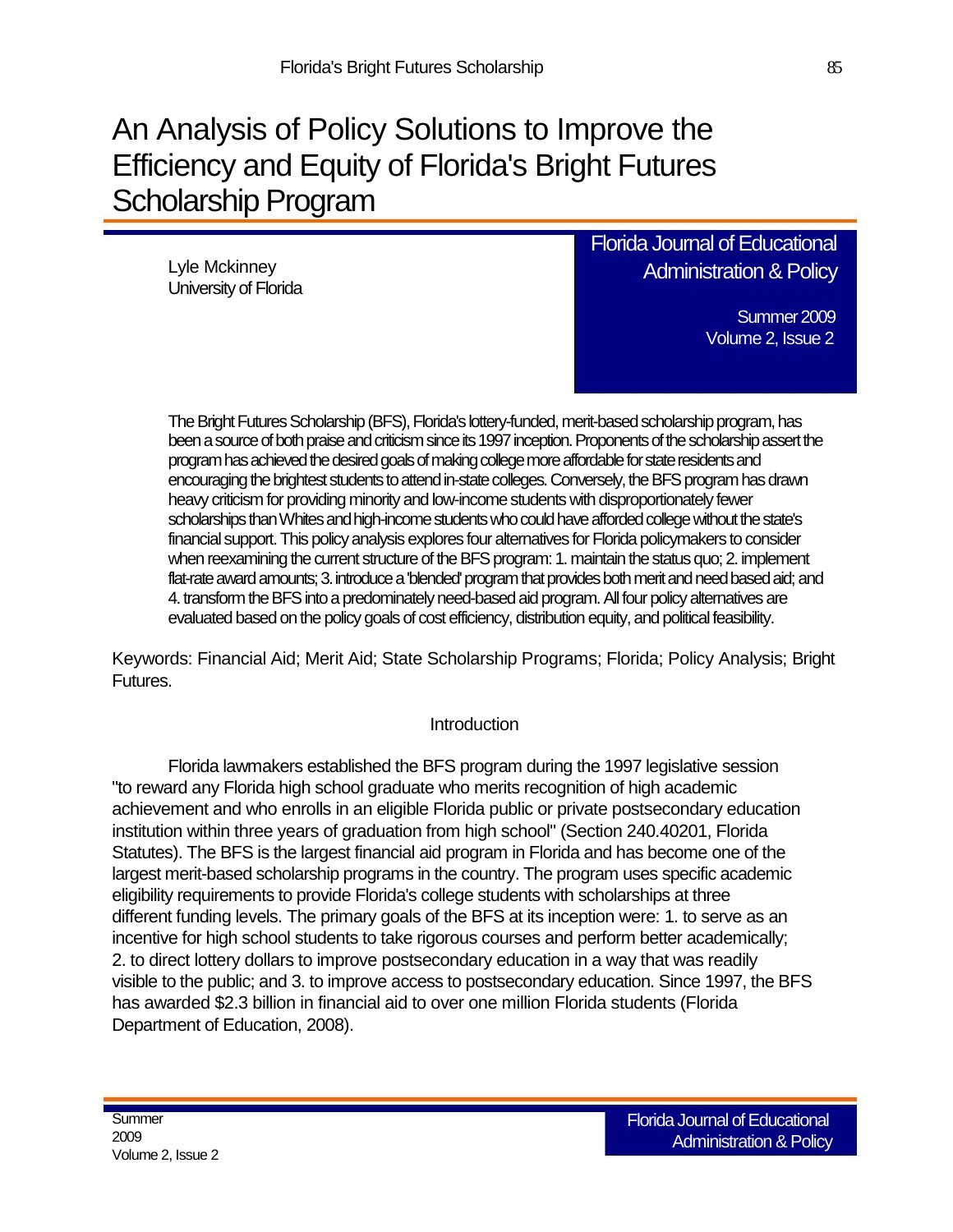# An Analysis of Policy Solutions to Improve the Efficiency and Equity of Florida's Bright Futures Scholarship Program

Lyle Mckinney University of Florida Florida Journal of Educational Administration & Policy

> Summer 2009 Volume 2, Issue 2

The Bright Futures Scholarship (BFS), Florida's lottery-funded, merit-based scholarship program, has been a source of both praise and criticism since its 1997 inception. Proponents of the scholarship assert the program has achieved the desired goals of making college more affordable for state residents and encouraging the brightest students to attend in-state colleges. Conversely, the BFS program has drawn heavy criticism for providing minority and low-income students with disproportionately fewer scholarships than Whites and high-income students who could have afforded college without the state's financial support. This policy analysis explores four alternatives for Florida policymakers to consider when reexamining the current structure of the BFS program: 1. maintain the status quo; 2. implement flat-rate award amounts; 3. introduce a 'blended' program that provides both merit and need based aid; and 4. transform the BFS into a predominately need-based aid program. All four policy alternatives are evaluated based on the policy goals of cost efficiency, distribution equity, and political feasibility.

Keywords: Financial Aid; Merit Aid; State Scholarship Programs; Florida; Policy Analysis; Bright Futures.

#### **Introduction**

Florida lawmakers established the BFS program during the 1997 legislative session "to reward any Florida high school graduate who merits recognition of high academic achievement and who enrolls in an eligible Florida public or private postsecondary education institution within three years of graduation from high school" (Section 240.40201, Florida Statutes). The BFS is the largest financial aid program in Florida and has become one of the largest merit-based scholarship programs in the country. The program uses specific academic eligibility requirements to provide Florida's college students with scholarships at three different funding levels. The primary goals of the BFS at its inception were: 1. to serve as an incentive for high school students to take rigorous courses and perform better academically; 2. to direct lottery dollars to improve postsecondary education in a way that was readily visible to the public; and 3. to improve access to postsecondary education. Since 1997, the BFS has awarded \$2.3 billion in financial aid to over one million Florida students (Florida Department of Education, 2008).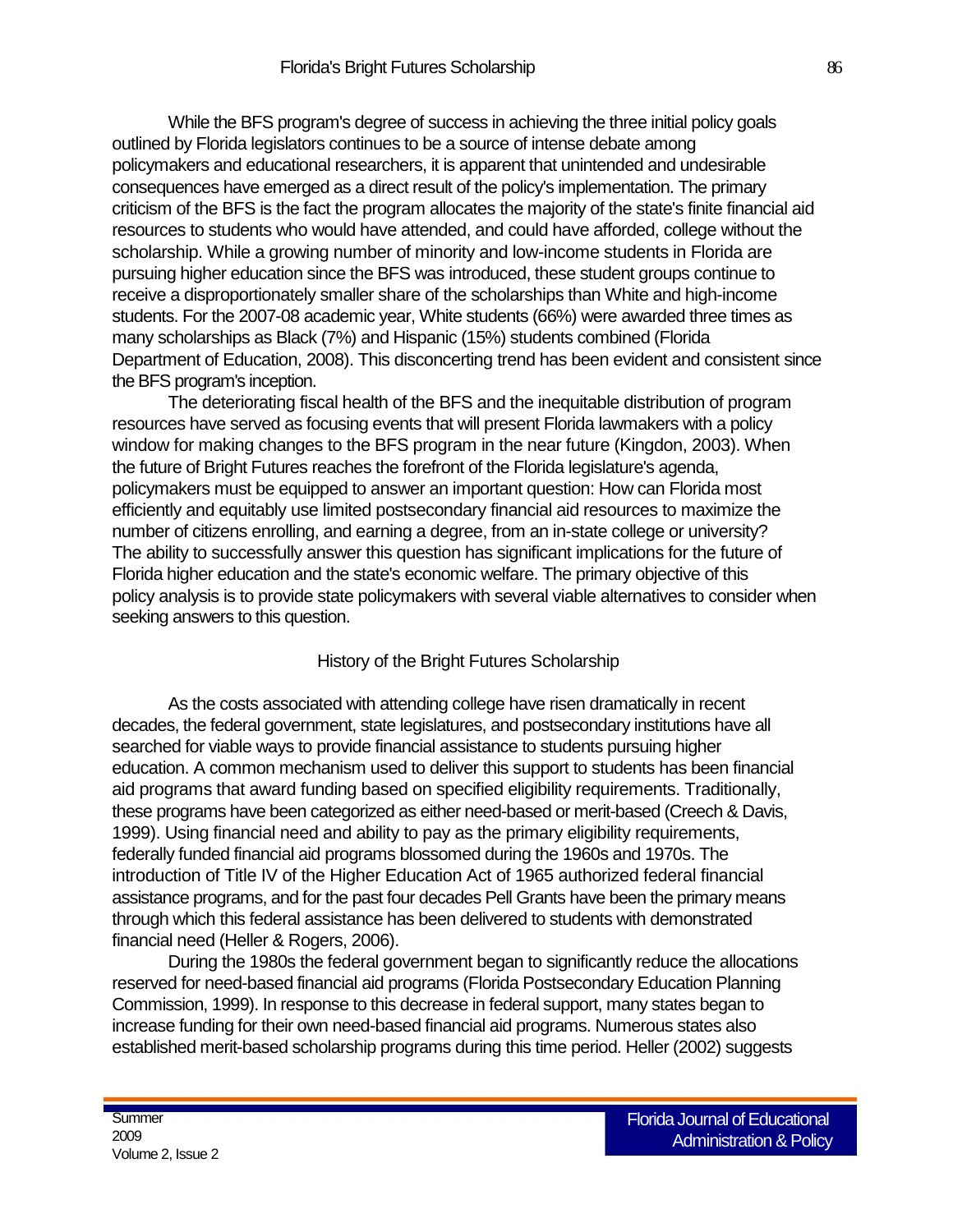While the BFS program's degree of success in achieving the three initial policy goals outlined by Florida legislators continues to be a source of intense debate among policymakers and educational researchers, it is apparent that unintended and undesirable consequences have emerged as a direct result of the policy's implementation. The primary criticism of the BFS is the fact the program allocates the majority of the state's finite financial aid resources to students who would have attended, and could have afforded, college without the scholarship. While a growing number of minority and low-income students in Florida are pursuing higher education since the BFS was introduced, these student groups continue to receive a disproportionately smaller share of the scholarships than White and high-income students. For the 2007-08 academic year, White students (66%) were awarded three times as many scholarships as Black (7%) and Hispanic (15%) students combined (Florida Department of Education, 2008). This disconcerting trend has been evident and consistent since the BFS program's inception.

The deteriorating fiscal health of the BFS and the inequitable distribution of program resources have served as focusing events that will present Florida lawmakers with a policy window for making changes to the BFS program in the near future (Kingdon, 2003). When the future of Bright Futures reaches the forefront of the Florida legislature's agenda, policymakers must be equipped to answer an important question: How can Florida most efficiently and equitably use limited postsecondary financial aid resources to maximize the number of citizens enrolling, and earning a degree, from an in-state college or university? The ability to successfully answer this question has significant implications for the future of Florida higher education and the state's economic welfare. The primary objective of this policy analysis is to provide state policymakers with several viable alternatives to consider when seeking answers to this question.

#### History of the Bright Futures Scholarship

As the costs associated with attending college have risen dramatically in recent decades, the federal government, state legislatures, and postsecondary institutions have all searched for viable ways to provide financial assistance to students pursuing higher education. A common mechanism used to deliver this support to students has been financial aid programs that award funding based on specified eligibility requirements. Traditionally, these programs have been categorized as either need-based or merit-based (Creech & Davis, 1999). Using financial need and ability to pay as the primary eligibility requirements, federally funded financial aid programs blossomed during the 1960s and 1970s. The introduction of Title IV of the Higher Education Act of 1965 authorized federal financial assistance programs, and for the past four decades Pell Grants have been the primary means through which this federal assistance has been delivered to students with demonstrated financial need (Heller & Rogers, 2006).

During the 1980s the federal government began to significantly reduce the allocations reserved for need-based financial aid programs (Florida Postsecondary Education Planning Commission, 1999). In response to this decrease in federal support, many states began to increase funding for their own need-based financial aid programs. Numerous states also established merit-based scholarship programs during this time period. Heller (2002) suggests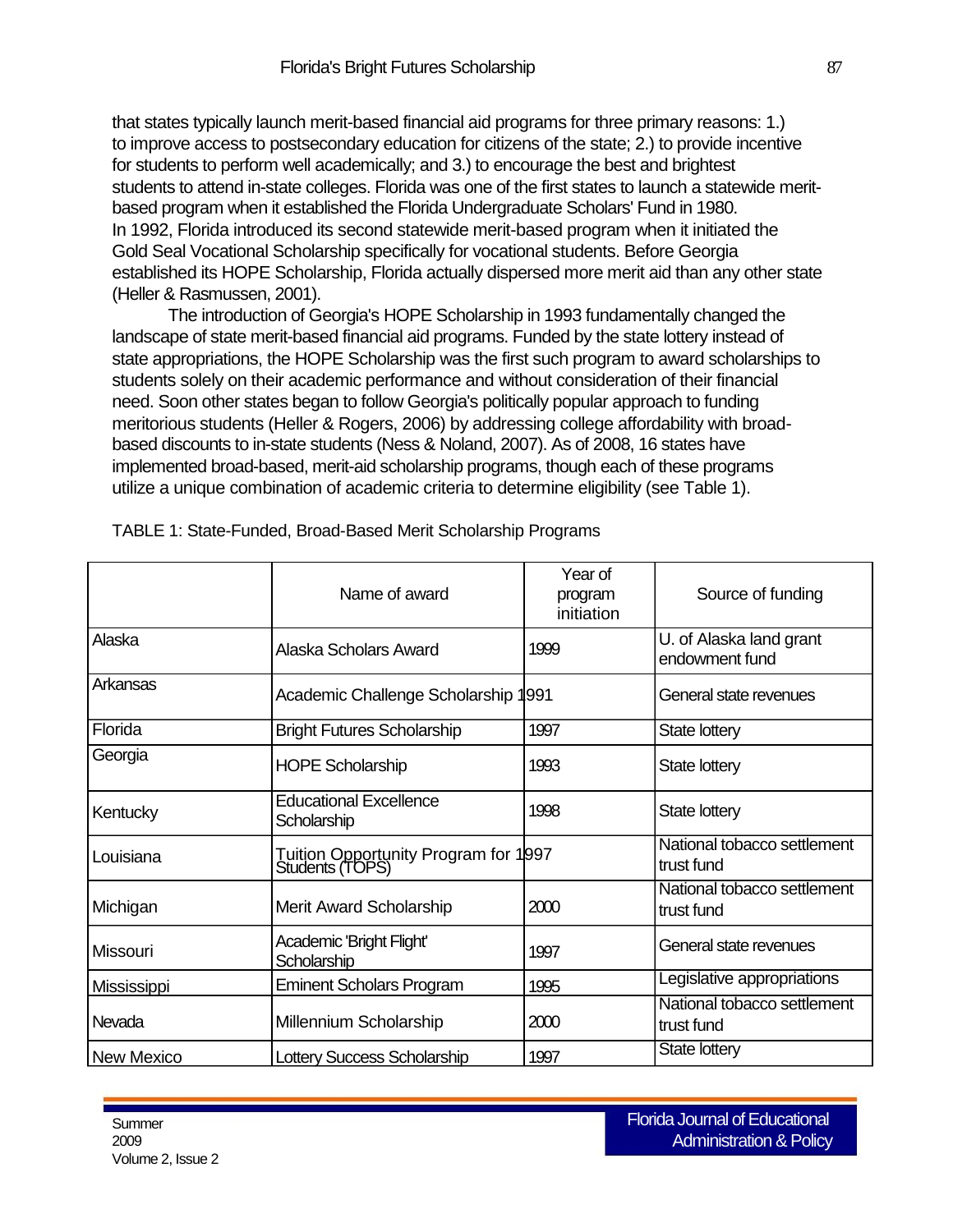that states typically launch merit-based financial aid programs for three primary reasons: 1.) to improve access to postsecondary education for citizens of the state; 2.) to provide incentive for students to perform well academically; and 3.) to encourage the best and brightest students to attend in-state colleges. Florida was one of the first states to launch a statewide meritbased program when it established the Florida Undergraduate Scholars' Fund in 1980. In 1992, Florida introduced its second statewide merit-based program when it initiated the Gold Seal Vocational Scholarship specifically for vocational students. Before Georgia established its HOPE Scholarship, Florida actually dispersed more merit aid than any other state (Heller & Rasmussen, 2001).

The introduction of Georgia's HOPE Scholarship in 1993 fundamentally changed the landscape of state merit-based financial aid programs. Funded by the state lottery instead of state appropriations, the HOPE Scholarship was the first such program to award scholarships to students solely on their academic performance and without consideration of their financial need. Soon other states began to follow Georgia's politically popular approach to funding meritorious students (Heller & Rogers, 2006) by addressing college affordability with broadbased discounts to in-state students (Ness & Noland, 2007). As of 2008, 16 states have implemented broad-based, merit-aid scholarship programs, though each of these programs utilize a unique combination of academic criteria to determine eligibility (see Table 1).

|                    | Name of award                                           | Year of<br>program<br>initiation | Source of funding                         |
|--------------------|---------------------------------------------------------|----------------------------------|-------------------------------------------|
| Alaska             | Alaska Scholars Award                                   | 1999                             | U. of Alaska land grant<br>endowment fund |
| Arkansas           | Academic Challenge Scholarship                          | 1991                             | General state revenues                    |
| Florida            | <b>Bright Futures Scholarship</b>                       | 1997                             | State lottery                             |
| Georgia            | <b>HOPE Scholarship</b>                                 | 1993                             | <b>State lottery</b>                      |
| Kentucky           | <b>Educational Excellence</b><br>Scholarship            | 1998                             | State lottery                             |
| Louisiana          | Tuition Opportunity Program for 1997<br>Students (TOPS) |                                  | National tobacco settlement<br>trust fund |
| Michigan           | Merit Award Scholarship                                 | 2000                             | National tobacco settlement<br>trust fund |
| <b>Missouri</b>    | Academic 'Bright Flight'<br>Scholarship                 | 1997                             | General state revenues                    |
| <b>Mississippi</b> | <b>Eminent Scholars Program</b>                         | 1995                             | Legislative appropriations                |
| Nevada             | Millennium Scholarship                                  | 2000                             | National tobacco settlement<br>trust fund |
| <b>New Mexico</b>  | <b>Lottery Success Scholarship</b>                      | 1997                             | State lottery                             |

TABLE 1: State-Funded, Broad-Based Merit Scholarship Programs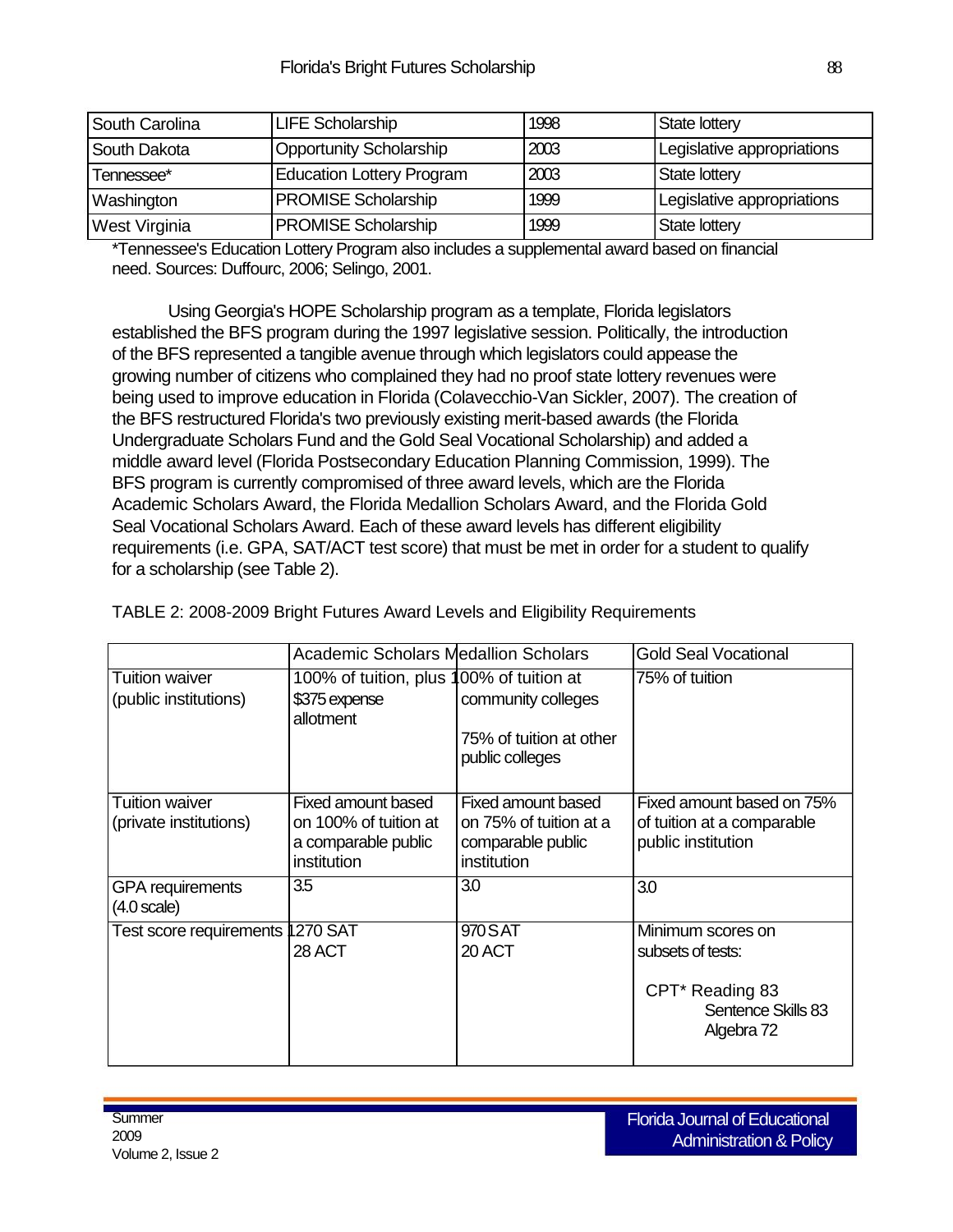| South Carolina | LIFE Scholarship                 | 1998 | State lottery              |
|----------------|----------------------------------|------|----------------------------|
| South Dakota   | Opportunity Scholarship          | 2003 | Legislative appropriations |
| Tennessee*     | <b>Education Lottery Program</b> | 2003 | State lottery              |
| Washington     | <b>PROMISE Scholarship</b>       | 1999 | Legislative appropriations |
| West Virginia  | <b>PROMISE Scholarship</b>       | 1999 | State lottery              |

\*Tennessee's Education Lottery Program also includes a supplemental award based on financial need. Sources: Duffourc, 2006; Selingo, 2001.

Using Georgia's HOPE Scholarship program as a template, Florida legislators established the BFS program during the 1997 legislative session. Politically, the introduction of the BFS represented a tangible avenue through which legislators could appease the growing number of citizens who complained they had no proof state lottery revenues were being used to improve education in Florida (Colavecchio-Van Sickler, 2007). The creation of the BFS restructured Florida's two previously existing merit-based awards (the Florida Undergraduate Scholars Fund and the Gold Seal Vocational Scholarship) and added a middle award level (Florida Postsecondary Education Planning Commission, 1999). The BFS program is currently compromised of three award levels, which are the Florida Academic Scholars Award, the Florida Medallion Scholars Award, and the Florida Gold Seal Vocational Scholars Award. Each of these award levels has different eligibility requirements (i.e. GPA, SAT/ACT test score) that must be met in order for a student to qualify for a scholarship (see Table 2).

TABLE 2: 2008-2009 Bright Futures Award Levels and Eligibility Requirements

|                                                  | <b>Academic Scholars Medallion Scholars</b>                                       |                                                                                  | <b>Gold Seal Vocational</b>                                                                               |
|--------------------------------------------------|-----------------------------------------------------------------------------------|----------------------------------------------------------------------------------|-----------------------------------------------------------------------------------------------------------|
| <b>Tuition waiver</b><br>(public institutions)   | 100% of tuition, plus 100% of tuition at<br>\$375 expense<br>allotment            | community colleges<br>75% of tuition at other<br>public colleges                 | 75% of tuition                                                                                            |
| <b>Tuition waiver</b><br>(private institutions)  | Fixed amount based<br>on 100% of tuition at<br>a comparable public<br>institution | Fixed amount based<br>on 75% of tuition at a<br>comparable public<br>institution | Fixed amount based on 75%<br>of tuition at a comparable<br>public institution                             |
| <b>GPA</b> requirements<br>$(4.0 \text{ scale})$ | 3.5                                                                               | 3.0                                                                              | 3.0                                                                                                       |
| Test score requirements  1270 SAT                | 28 ACT                                                                            | 970 SAT<br>20 ACT                                                                | Minimum scores on<br>subsets of tests:<br>CPT <sup>*</sup> Reading 83<br>Sentence Skills 83<br>Algebra 72 |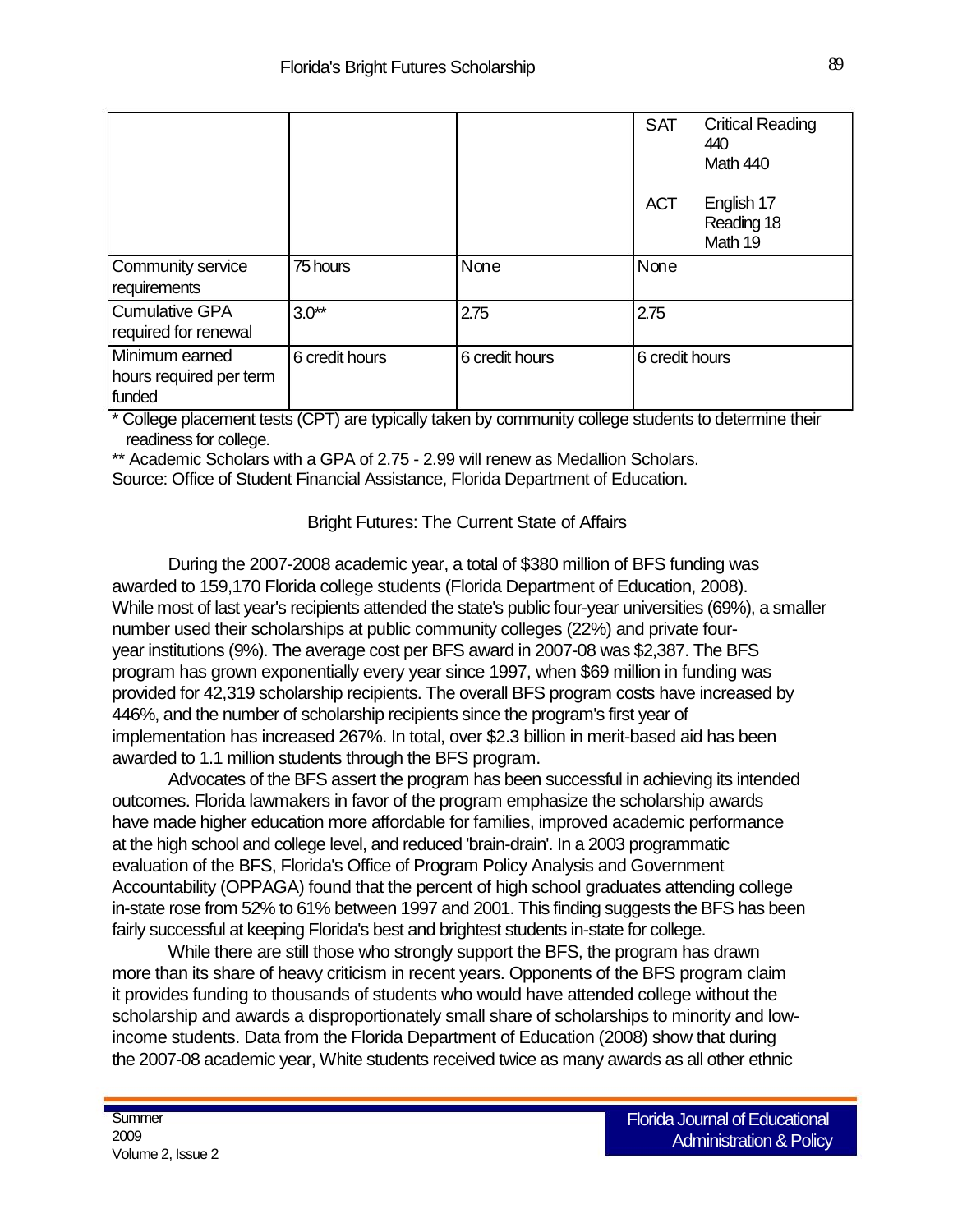|                                                     |                |                | <b>SAT</b>     | <b>Critical Reading</b><br>440<br>Math 440 |
|-----------------------------------------------------|----------------|----------------|----------------|--------------------------------------------|
|                                                     |                |                | <b>ACT</b>     | English 17<br>Reading 18<br>Math 19        |
| Community service<br>requirements                   | 75 hours       | None           | None           |                                            |
| <b>Cumulative GPA</b><br>required for renewal       | $3.0**$        | 2.75           | 2.75           |                                            |
| Minimum earned<br>hours required per term<br>funded | 6 credit hours | 6 credit hours | 6 credit hours |                                            |

\* College placement tests (CPT) are typically taken by community college students to determine their readiness for college.

\*\* Academic Scholars with a GPA of 2.75 - 2.99 will renew as Medallion Scholars.

Source: Office of Student Financial Assistance, Florida Department of Education.

## Bright Futures: The Current State of Affairs

During the 2007-2008 academic year, a total of \$380 million of BFS funding was awarded to 159,170 Florida college students (Florida Department of Education, 2008). While most of last year's recipients attended the state's public four-year universities (69%), a smaller number used their scholarships at public community colleges (22%) and private fouryear institutions (9%). The average cost per BFS award in 2007-08 was \$2,387. The BFS program has grown exponentially every year since 1997, when \$69 million in funding was provided for 42,319 scholarship recipients. The overall BFS program costs have increased by 446%, and the number of scholarship recipients since the program's first year of implementation has increased 267%. In total, over \$2.3 billion in merit-based aid has been awarded to 1.1 million students through the BFS program.

Advocates of the BFS assert the program has been successful in achieving its intended outcomes. Florida lawmakers in favor of the program emphasize the scholarship awards have made higher education more affordable for families, improved academic performance at the high school and college level, and reduced 'brain-drain'. In a 2003 programmatic evaluation of the BFS, Florida's Office of Program Policy Analysis and Government Accountability (OPPAGA) found that the percent of high school graduates attending college in-state rose from 52% to 61% between 1997 and 2001. This finding suggests the BFS has been fairly successful at keeping Florida's best and brightest students in-state for college.

While there are still those who strongly support the BFS, the program has drawn more than its share of heavy criticism in recent years. Opponents of the BFS program claim it provides funding to thousands of students who would have attended college without the scholarship and awards a disproportionately small share of scholarships to minority and lowincome students. Data from the Florida Department of Education (2008) show that during the 2007-08 academic year, White students received twice as many awards as all other ethnic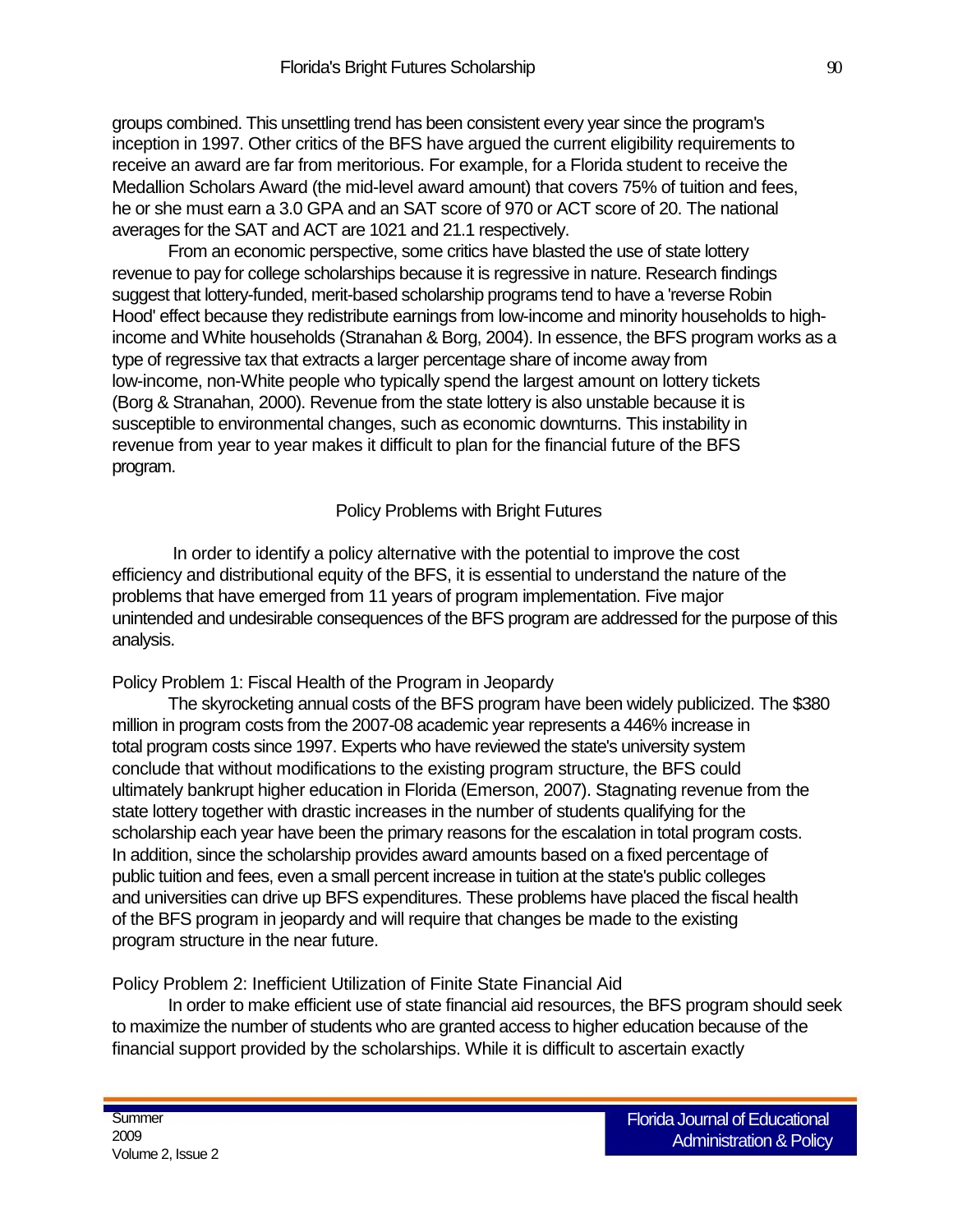groups combined. This unsettling trend has been consistent every year since the program's inception in 1997. Other critics of the BFS have argued the current eligibility requirements to receive an award are far from meritorious. For example, for a Florida student to receive the Medallion Scholars Award (the mid-level award amount) that covers 75% of tuition and fees, he or she must earn a 3.0 GPA and an SAT score of 970 or ACT score of 20. The national averages for the SAT and ACT are 1021 and 21.1 respectively.

From an economic perspective, some critics have blasted the use of state lottery revenue to pay for college scholarships because it is regressive in nature. Research findings suggest that lottery-funded, merit-based scholarship programs tend to have a 'reverse Robin Hood' effect because they redistribute earnings from low-income and minority households to highincome and White households (Stranahan & Borg, 2004). In essence, the BFS program works as a type of regressive tax that extracts a larger percentage share of income away from low-income, non-White people who typically spend the largest amount on lottery tickets (Borg & Stranahan, 2000). Revenue from the state lottery is also unstable because it is susceptible to environmental changes, such as economic downturns. This instability in revenue from year to year makes it difficult to plan for the financial future of the BFS program.

#### Policy Problems with Bright Futures

In order to identify a policy alternative with the potential to improve the cost efficiency and distributional equity of the BFS, it is essential to understand the nature of the problems that have emerged from 11 years of program implementation. Five major unintended and undesirable consequences of the BFS program are addressed for the purpose of this analysis.

#### Policy Problem 1: Fiscal Health of the Program in Jeopardy

The skyrocketing annual costs of the BFS program have been widely publicized. The \$380 million in program costs from the 2007-08 academic year represents a 446% increase in total program costs since 1997. Experts who have reviewed the state's university system conclude that without modifications to the existing program structure, the BFS could ultimately bankrupt higher education in Florida (Emerson, 2007). Stagnating revenue from the state lottery together with drastic increases in the number of students qualifying for the scholarship each year have been the primary reasons for the escalation in total program costs. In addition, since the scholarship provides award amounts based on a fixed percentage of public tuition and fees, even a small percent increase in tuition at the state's public colleges and universities can drive up BFS expenditures. These problems have placed the fiscal health of the BFS program in jeopardy and will require that changes be made to the existing program structure in the near future.

#### Policy Problem 2: Inefficient Utilization of Finite State Financial Aid

In order to make efficient use of state financial aid resources, the BFS program should seek to maximize the number of students who are granted access to higher education because of the financial support provided by the scholarships. While it is difficult to ascertain exactly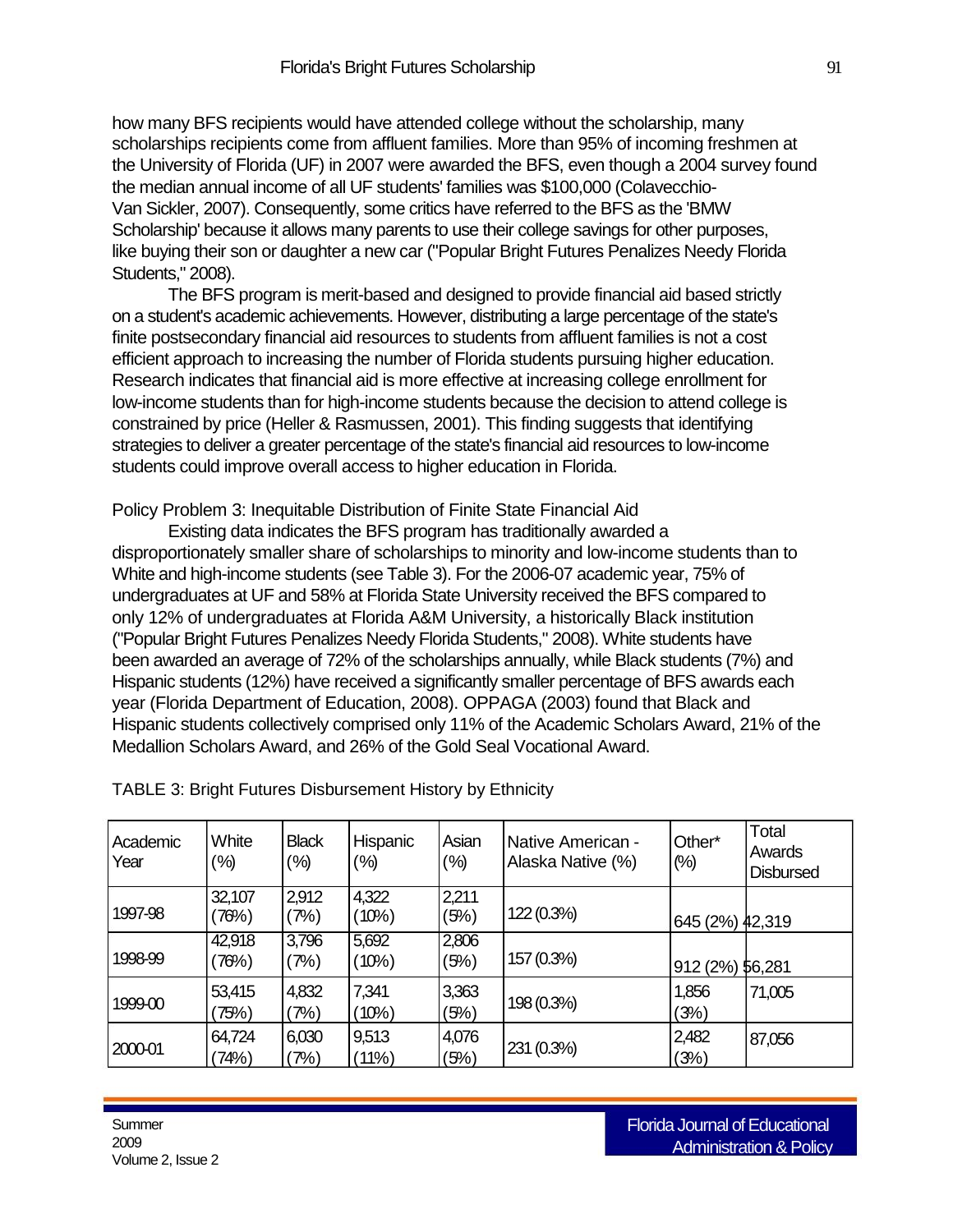how many BFS recipients would have attended college without the scholarship, many scholarships recipients come from affluent families. More than 95% of incoming freshmen at the University of Florida (UF) in 2007 were awarded the BFS, even though a 2004 survey found the median annual income of all UF students' families was \$100,000 (Colavecchio-Van Sickler, 2007). Consequently, some critics have referred to the BFS as the 'BMW Scholarship' because it allows many parents to use their college savings for other purposes, like buying their son or daughter a new car ("Popular Bright Futures Penalizes Needy Florida Students," 2008).

The BFS program is merit-based and designed to provide financial aid based strictly on a student's academic achievements. However, distributing a large percentage of the state's finite postsecondary financial aid resources to students from affluent families is not a cost efficient approach to increasing the number of Florida students pursuing higher education. Research indicates that financial aid is more effective at increasing college enrollment for low-income students than for high-income students because the decision to attend college is constrained by price (Heller & Rasmussen, 2001). This finding suggests that identifying strategies to deliver a greater percentage of the state's financial aid resources to low-income students could improve overall access to higher education in Florida.

Policy Problem 3: Inequitable Distribution of Finite State Financial Aid

Existing data indicates the BFS program has traditionally awarded a disproportionately smaller share of scholarships to minority and low-income students than to White and high-income students (see Table 3). For the 2006-07 academic year, 75% of undergraduates at UF and 58% at Florida State University received the BFS compared to only 12% of undergraduates at Florida A&M University, a historically Black institution ("Popular Bright Futures Penalizes Needy Florida Students," 2008). White students have been awarded an average of 72% of the scholarships annually, while Black students (7%) and Hispanic students (12%) have received a significantly smaller percentage of BFS awards each year (Florida Department of Education, 2008). OPPAGA (2003) found that Black and Hispanic students collectively comprised only 11% of the Academic Scholars Award, 21% of the Medallion Scholars Award, and 26% of the Gold Seal Vocational Award.

| Academic<br>Year | White<br>(%)    | <b>Black</b><br>(%) | Hispanic<br>(%) | Asian<br>$(\% )$ | Native American -<br>Alaska Native (%) | Other*<br>$(\%)$ | Total<br>Awards<br><b>Disbursed</b> |
|------------------|-----------------|---------------------|-----------------|------------------|----------------------------------------|------------------|-------------------------------------|
| 1997-98          | 32,107<br>(76%) | 2,912<br>(7%)       | 4,322<br>(10%)  | 2,211<br>(5%)    | 122 (0.3%)                             | 645 (2%) 42,319  |                                     |
| 1998-99          | 42,918<br>(76%) | 3,796<br>(7%)       | 5,692<br>(10%)  | 2,806<br>(5%)    | 157 (0.3%)                             | 912 (2%) 56,281  |                                     |
| 1999-00          | 53,415<br>75%)  | 4,832<br>$7%$ )     | 7,341<br>(10%)  | 3,363<br>(5%)    | 198 (0.3%)                             | 1,856<br>(3%)    | 71,005                              |
| 2000-01          | 64,724<br>(74%) | 6,030<br>(7%)       | 9,513<br>(11%)  | 4,076<br>(5%)    | 231 (0.3%)                             | 2,482<br>(3%)    | 87,056                              |

TABLE 3: Bright Futures Disbursement History by Ethnicity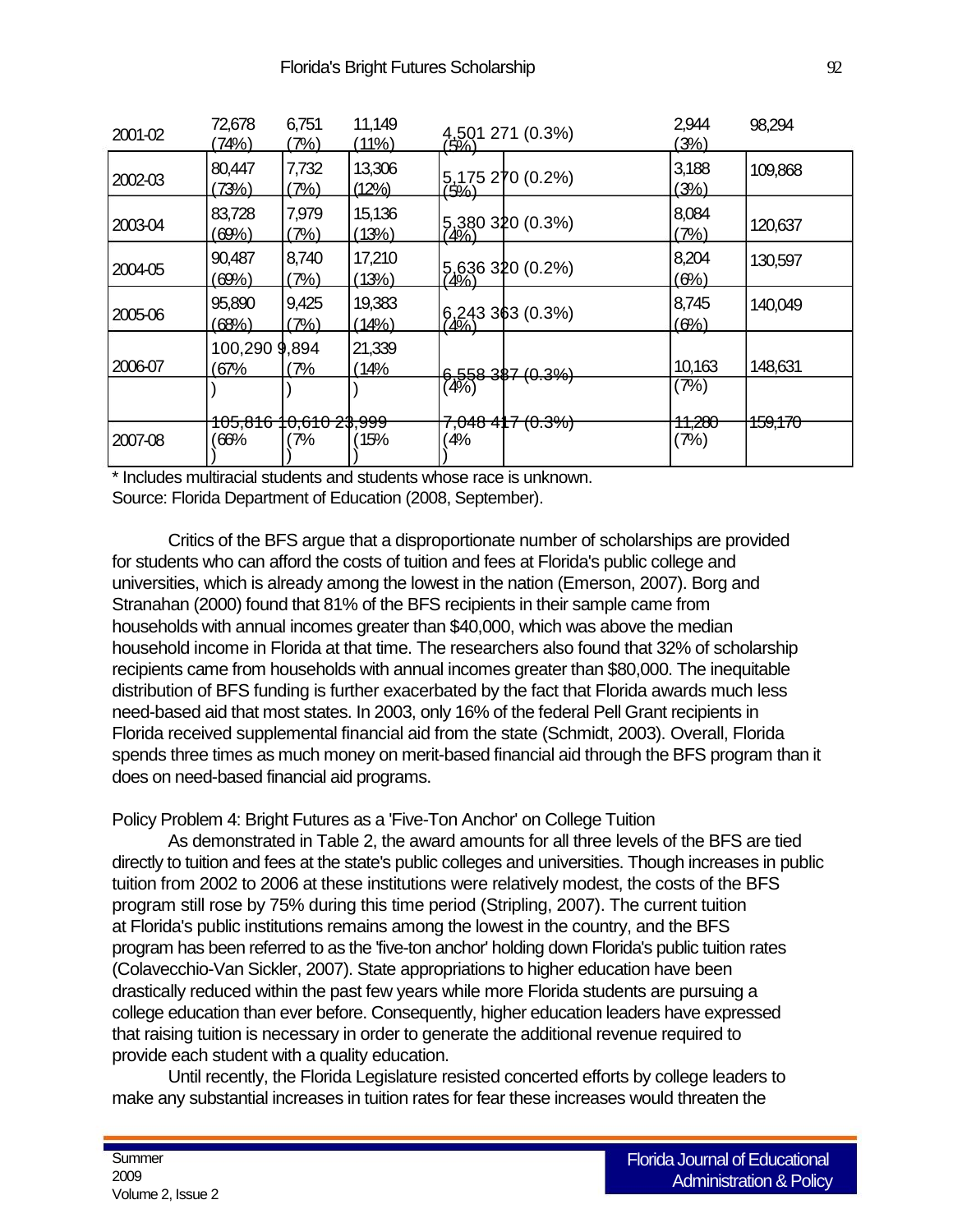| 2001-02 | 72,678<br>(74%)       | 6,751<br>$7\%)$           | 11,149<br>(11%)        | 4,501 271 (0.3%)                    | 2,944<br>(3%)             | 98,294  |
|---------|-----------------------|---------------------------|------------------------|-------------------------------------|---------------------------|---------|
| 2002-03 | 80,447<br>(73%)       | 7,732<br>7%               | 13,306<br>(12%)        | 5,175 270 (0.2%)<br>(5%)            | 3,188<br>(3%)             | 109,868 |
| 2003-04 | 83,728<br>(69%)       | 7,979<br>(7%)             | 15,136<br>(13%)        | 5,380 320 (0.3%)                    | 8,084<br>(7%)             | 120,637 |
| 2004-05 | 90,487<br>(69%)       | 8,740<br>(7%)             | 17,210<br>(13%)        | 5,636 320 (0.2%)                    | 8,204<br>(6%)             | 130,597 |
| 2005-06 | 95,890<br>(68%)       | 9,425<br>(7%)             | 19,383<br><u>(14%)</u> | $6,243$ 363 (0.3%)                  | 8,745<br>(6%)             | 140,049 |
| 2006-07 | 100,290 9,894<br>(67% | (7%                       | 21,339<br>14%          | 6.558 387 (0.3%)                    | 10,163                    | 148,631 |
|         | <del>105,816 1</del>  | <del>10,610 2\$,999</del> |                        | (4%)<br><del>7,048 4∥7 (0.3%)</del> | (7%)<br><del>11,280</del> | 159,170 |
| 2007-08 | 66%                   | 7%                        | 15%                    | 4%                                  | (7%)                      |         |

\* Includes multiracial students and students whose race is unknown. Source: Florida Department of Education (2008, September).

Critics of the BFS argue that a disproportionate number of scholarships are provided for students who can afford the costs of tuition and fees at Florida's public college and universities, which is already among the lowest in the nation (Emerson, 2007). Borg and Stranahan (2000) found that 81% of the BFS recipients in their sample came from households with annual incomes greater than \$40,000, which was above the median household income in Florida at that time. The researchers also found that 32% of scholarship recipients came from households with annual incomes greater than \$80,000. The inequitable distribution of BFS funding is further exacerbated by the fact that Florida awards much less need-based aid that most states. In 2003, only 16% of the federal Pell Grant recipients in Florida received supplemental financial aid from the state (Schmidt, 2003). Overall, Florida spends three times as much money on merit-based financial aid through the BFS program than it does on need-based financial aid programs.

Policy Problem 4: Bright Futures as a 'Five-Ton Anchor' on College Tuition

As demonstrated in Table 2, the award amounts for all three levels of the BFS are tied directly to tuition and fees at the state's public colleges and universities. Though increases in public tuition from 2002 to 2006 at these institutions were relatively modest, the costs of the BFS program still rose by 75% during this time period (Stripling, 2007). The current tuition at Florida's public institutions remains among the lowest in the country, and the BFS program has been referred to as the 'five-ton anchor' holding down Florida's public tuition rates (Colavecchio-Van Sickler, 2007). State appropriations to higher education have been drastically reduced within the past few years while more Florida students are pursuing a college education than ever before. Consequently, higher education leaders have expressed that raising tuition is necessary in order to generate the additional revenue required to provide each student with a quality education.

Until recently, the Florida Legislature resisted concerted efforts by college leaders to make any substantial increases in tuition rates for fear these increases would threaten the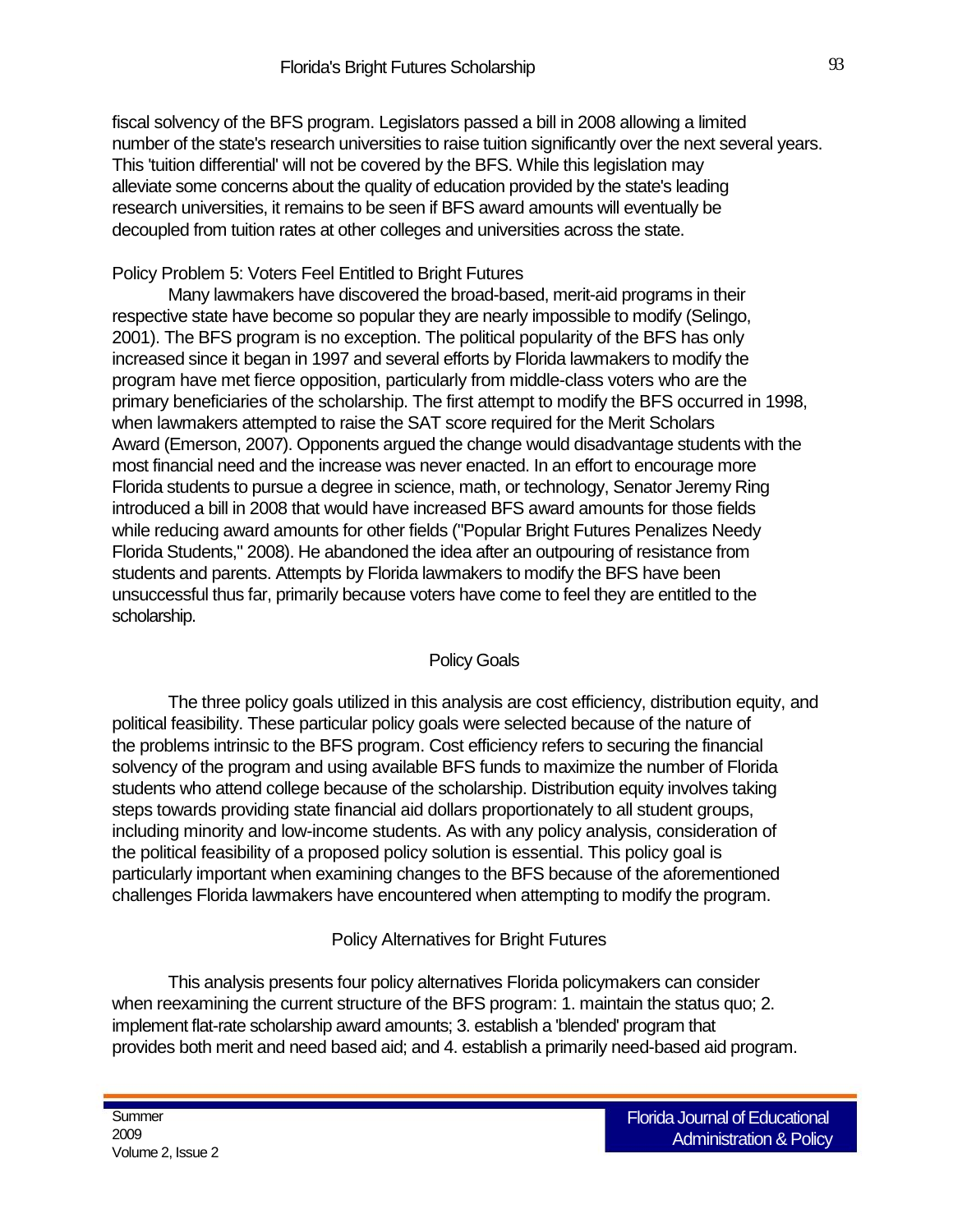fiscal solvency of the BFS program. Legislators passed a bill in 2008 allowing a limited number of the state's research universities to raise tuition significantly over the next several years. This 'tuition differential' will not be covered by the BFS. While this legislation may alleviate some concerns about the quality of education provided by the state's leading research universities, it remains to be seen if BFS award amounts will eventually be decoupled from tuition rates at other colleges and universities across the state.

### Policy Problem 5: Voters Feel Entitled to Bright Futures

Many lawmakers have discovered the broad-based, merit-aid programs in their respective state have become so popular they are nearly impossible to modify (Selingo, 2001). The BFS program is no exception. The political popularity of the BFS has only increased since it began in 1997 and several efforts by Florida lawmakers to modify the program have met fierce opposition, particularly from middle-class voters who are the primary beneficiaries of the scholarship. The first attempt to modify the BFS occurred in 1998, when lawmakers attempted to raise the SAT score required for the Merit Scholars Award (Emerson, 2007). Opponents argued the change would disadvantage students with the most financial need and the increase was never enacted. In an effort to encourage more Florida students to pursue a degree in science, math, or technology, Senator Jeremy Ring introduced a bill in 2008 that would have increased BFS award amounts for those fields while reducing award amounts for other fields ("Popular Bright Futures Penalizes Needy Florida Students," 2008). He abandoned the idea after an outpouring of resistance from students and parents. Attempts by Florida lawmakers to modify the BFS have been unsuccessful thus far, primarily because voters have come to feel they are entitled to the scholarship.

#### Policy Goals

The three policy goals utilized in this analysis are cost efficiency, distribution equity, and political feasibility. These particular policy goals were selected because of the nature of the problems intrinsic to the BFS program. Cost efficiency refers to securing the financial solvency of the program and using available BFS funds to maximize the number of Florida students who attend college because of the scholarship. Distribution equity involves taking steps towards providing state financial aid dollars proportionately to all student groups, including minority and low-income students. As with any policy analysis, consideration of the political feasibility of a proposed policy solution is essential. This policy goal is particularly important when examining changes to the BFS because of the aforementioned challenges Florida lawmakers have encountered when attempting to modify the program.

## Policy Alternatives for Bright Futures

This analysis presents four policy alternatives Florida policymakers can consider when reexamining the current structure of the BFS program: 1. maintain the status quo; 2. implement flat-rate scholarship award amounts; 3. establish a 'blended' program that provides both merit and need based aid; and 4. establish a primarily need-based aid program.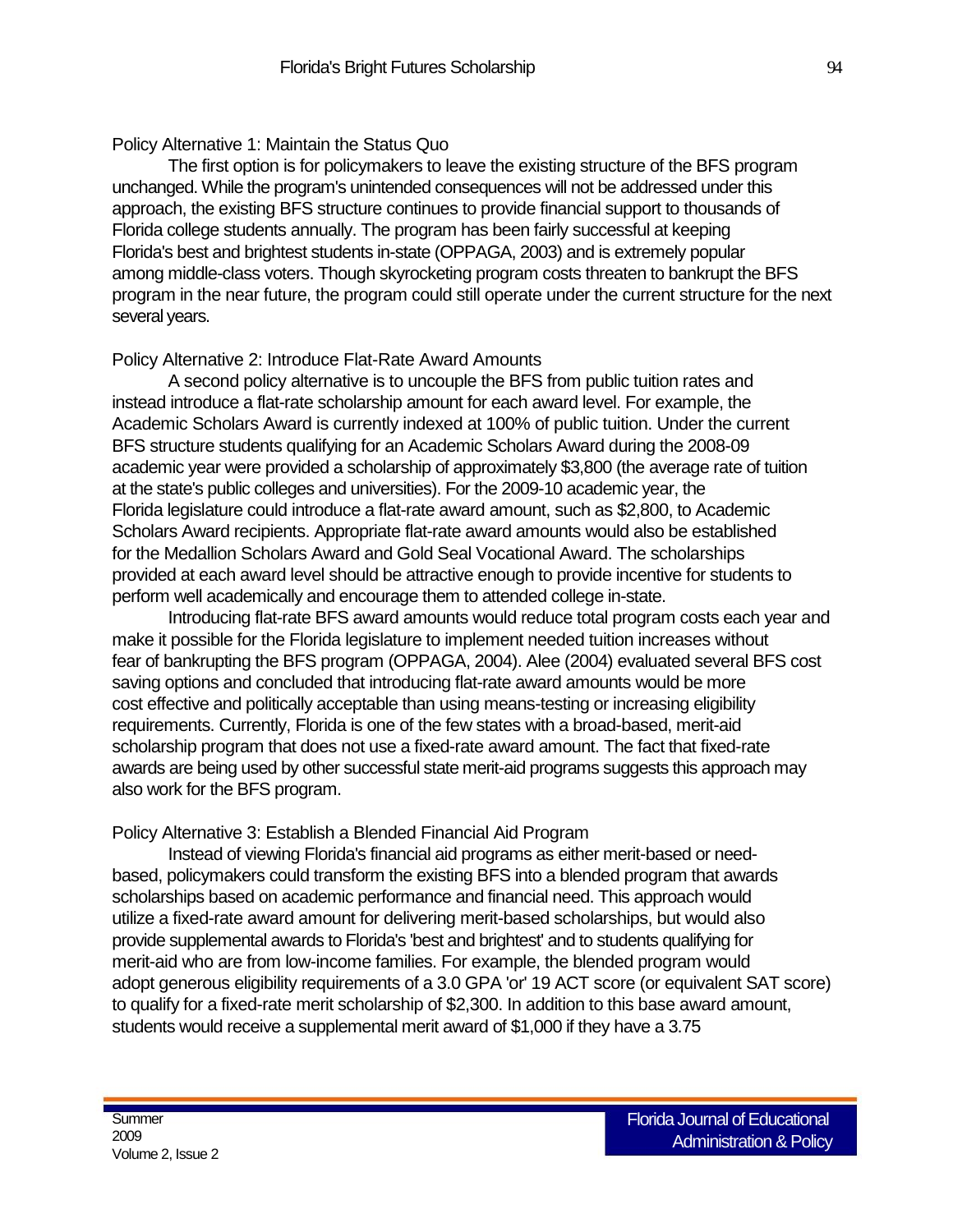### Policy Alternative 1: Maintain the Status Quo

The first option is for policymakers to leave the existing structure of the BFS program unchanged. While the program's unintended consequences will not be addressed under this approach, the existing BFS structure continues to provide financial support to thousands of Florida college students annually. The program has been fairly successful at keeping Florida's best and brightest students in-state (OPPAGA, 2003) and is extremely popular among middle-class voters. Though skyrocketing program costs threaten to bankrupt the BFS program in the near future, the program could still operate under the current structure for the next several years.

## Policy Alternative 2: Introduce Flat-Rate Award Amounts

A second policy alternative is to uncouple the BFS from public tuition rates and instead introduce a flat-rate scholarship amount for each award level. For example, the Academic Scholars Award is currently indexed at 100% of public tuition. Under the current BFS structure students qualifying for an Academic Scholars Award during the 2008-09 academic year were provided a scholarship of approximately \$3,800 (the average rate of tuition at the state's public colleges and universities). For the 2009-10 academic year, the Florida legislature could introduce a flat-rate award amount, such as \$2,800, to Academic Scholars Award recipients. Appropriate flat-rate award amounts would also be established for the Medallion Scholars Award and Gold Seal Vocational Award. The scholarships provided at each award level should be attractive enough to provide incentive for students to perform well academically and encourage them to attended college in-state.

Introducing flat-rate BFS award amounts would reduce total program costs each year and make it possible for the Florida legislature to implement needed tuition increases without fear of bankrupting the BFS program (OPPAGA, 2004). Alee (2004) evaluated several BFS cost saving options and concluded that introducing flat-rate award amounts would be more cost effective and politically acceptable than using means-testing or increasing eligibility requirements. Currently, Florida is one of the few states with a broad-based, merit-aid scholarship program that does not use a fixed-rate award amount. The fact that fixed-rate awards are being used by other successful state merit-aid programs suggests this approach may also work for the BFS program.

#### Policy Alternative 3: Establish a Blended Financial Aid Program

Instead of viewing Florida's financial aid programs as either merit-based or needbased, policymakers could transform the existing BFS into a blended program that awards scholarships based on academic performance and financial need. This approach would utilize a fixed-rate award amount for delivering merit-based scholarships, but would also provide supplemental awards to Florida's 'best and brightest' and to students qualifying for merit-aid who are from low-income families. For example, the blended program would adopt generous eligibility requirements of a 3.0 GPA 'or' 19 ACT score (or equivalent SAT score) to qualify for a fixed-rate merit scholarship of \$2,300. In addition to this base award amount, students would receive a supplemental merit award of \$1,000 if they have a 3.75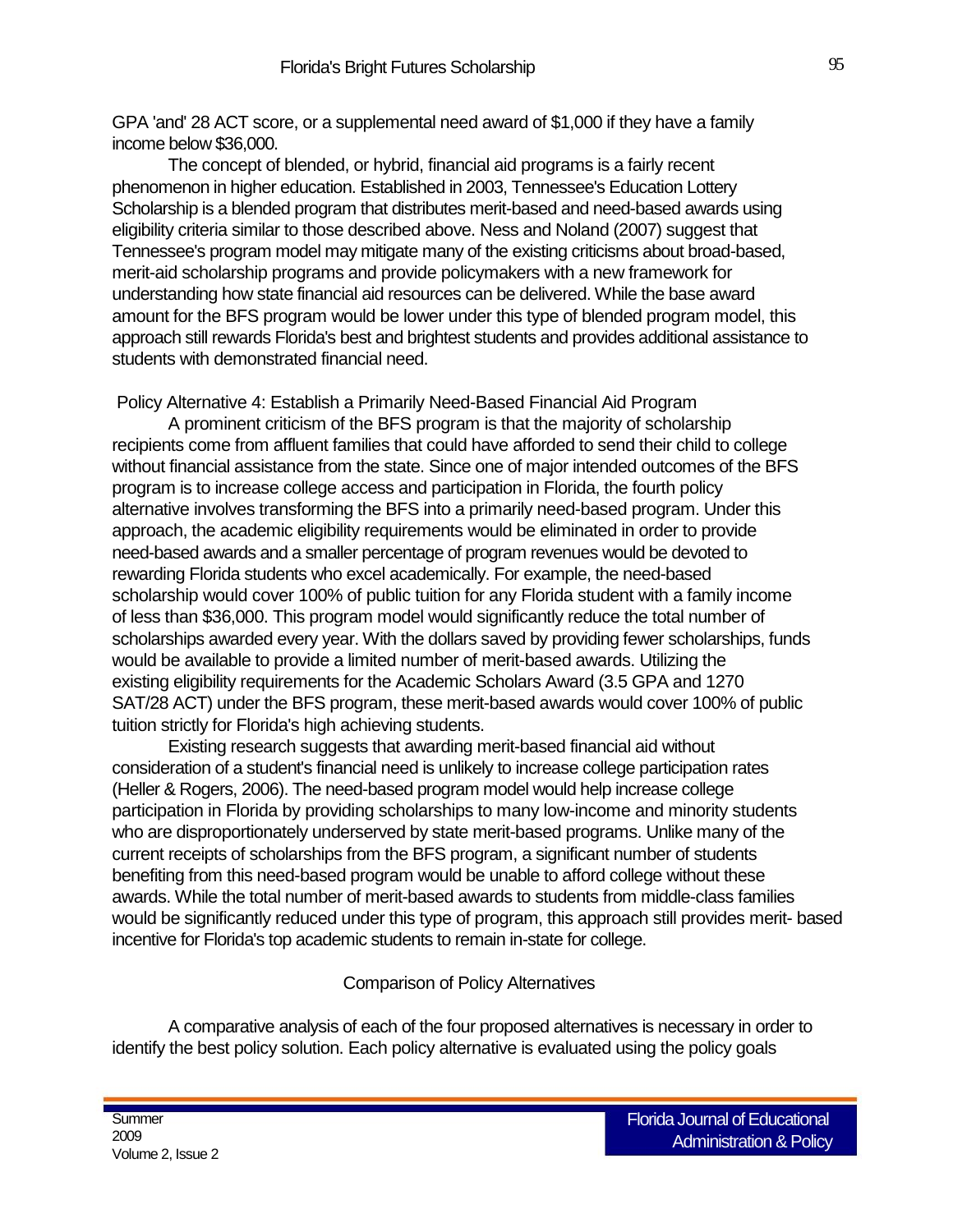GPA 'and' 28 ACT score, or a supplemental need award of \$1,000 if they have a family income below \$36,000.

The concept of blended, or hybrid, financial aid programs is a fairly recent phenomenon in higher education. Established in 2003, Tennessee's Education Lottery Scholarship is a blended program that distributes merit-based and need-based awards using eligibility criteria similar to those described above. Ness and Noland (2007) suggest that Tennessee's program model may mitigate many of the existing criticisms about broad-based, merit-aid scholarship programs and provide policymakers with a new framework for understanding how state financial aid resources can be delivered. While the base award amount for the BFS program would be lower under this type of blended program model, this approach still rewards Florida's best and brightest students and provides additional assistance to students with demonstrated financial need.

Policy Alternative 4: Establish a Primarily Need-Based Financial Aid Program

A prominent criticism of the BFS program is that the majority of scholarship recipients come from affluent families that could have afforded to send their child to college without financial assistance from the state. Since one of major intended outcomes of the BFS program is to increase college access and participation in Florida, the fourth policy alternative involves transforming the BFS into a primarily need-based program. Under this approach, the academic eligibility requirements would be eliminated in order to provide need-based awards and a smaller percentage of program revenues would be devoted to rewarding Florida students who excel academically. For example, the need-based scholarship would cover 100% of public tuition for any Florida student with a family income of less than \$36,000. This program model would significantly reduce the total number of scholarships awarded every year. With the dollars saved by providing fewer scholarships, funds would be available to provide a limited number of merit-based awards. Utilizing the existing eligibility requirements for the Academic Scholars Award (3.5 GPA and 1270 SAT/28 ACT) under the BFS program, these merit-based awards would cover 100% of public tuition strictly for Florida's high achieving students.

Existing research suggests that awarding merit-based financial aid without consideration of a student's financial need is unlikely to increase college participation rates (Heller & Rogers, 2006). The need-based program model would help increase college participation in Florida by providing scholarships to many low-income and minority students who are disproportionately underserved by state merit-based programs. Unlike many of the current receipts of scholarships from the BFS program, a significant number of students benefiting from this need-based program would be unable to afford college without these awards. While the total number of merit-based awards to students from middle-class families would be significantly reduced under this type of program, this approach still provides merit- based incentive for Florida's top academic students to remain in-state for college.

Comparison of Policy Alternatives

A comparative analysis of each of the four proposed alternatives is necessary in order to identify the best policy solution. Each policy alternative is evaluated using the policy goals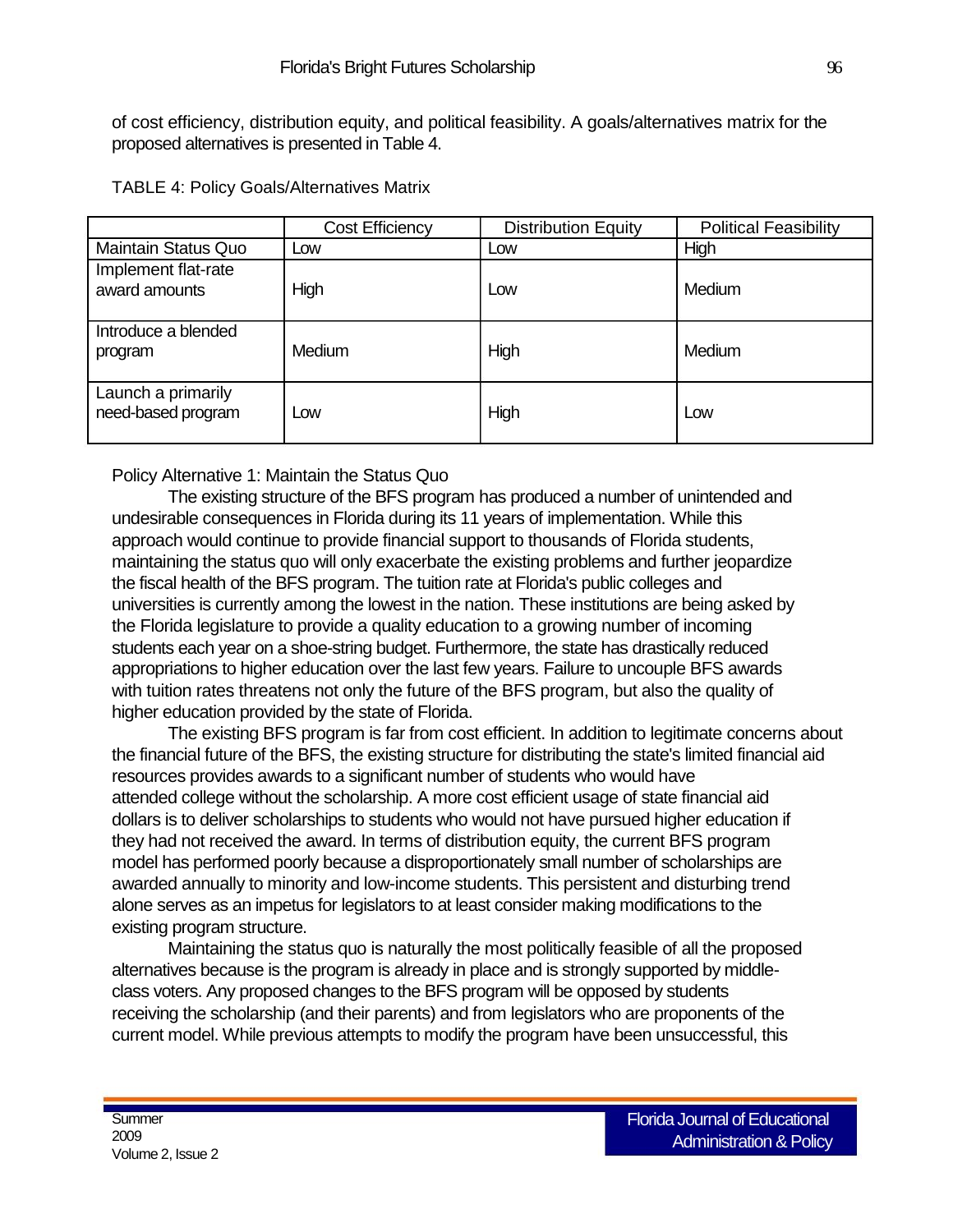of cost efficiency, distribution equity, and political feasibility. A goals/alternatives matrix for the proposed alternatives is presented in Table 4.

|                                          | <b>Cost Efficiency</b> | <b>Distribution Equity</b> | <b>Political Feasibility</b> |
|------------------------------------------|------------------------|----------------------------|------------------------------|
| <b>Maintain Status Quo</b>               | Low                    | Low                        | High                         |
| Implement flat-rate<br>award amounts     | High                   | Low                        | Medium                       |
| Introduce a blended<br>program           | <b>Medium</b>          | High                       | Medium                       |
| Launch a primarily<br>need-based program | Low                    | High                       | Low                          |

Policy Alternative 1: Maintain the Status Quo

The existing structure of the BFS program has produced a number of unintended and undesirable consequences in Florida during its 11 years of implementation. While this approach would continue to provide financial support to thousands of Florida students, maintaining the status quo will only exacerbate the existing problems and further jeopardize the fiscal health of the BFS program. The tuition rate at Florida's public colleges and universities is currently among the lowest in the nation. These institutions are being asked by the Florida legislature to provide a quality education to a growing number of incoming students each year on a shoe-string budget. Furthermore, the state has drastically reduced appropriations to higher education over the last few years. Failure to uncouple BFS awards with tuition rates threatens not only the future of the BFS program, but also the quality of higher education provided by the state of Florida.

The existing BFS program is far from cost efficient. In addition to legitimate concerns about the financial future of the BFS, the existing structure for distributing the state's limited financial aid resources provides awards to a significant number of students who would have attended college without the scholarship. A more cost efficient usage of state financial aid dollars is to deliver scholarships to students who would not have pursued higher education if they had not received the award. In terms of distribution equity, the current BFS program model has performed poorly because a disproportionately small number of scholarships are awarded annually to minority and low-income students. This persistent and disturbing trend alone serves as an impetus for legislators to at least consider making modifications to the existing program structure.

Maintaining the status quo is naturally the most politically feasible of all the proposed alternatives because is the program is already in place and is strongly supported by middleclass voters. Any proposed changes to the BFS program will be opposed by students receiving the scholarship (and their parents) and from legislators who are proponents of the current model. While previous attempts to modify the program have been unsuccessful, this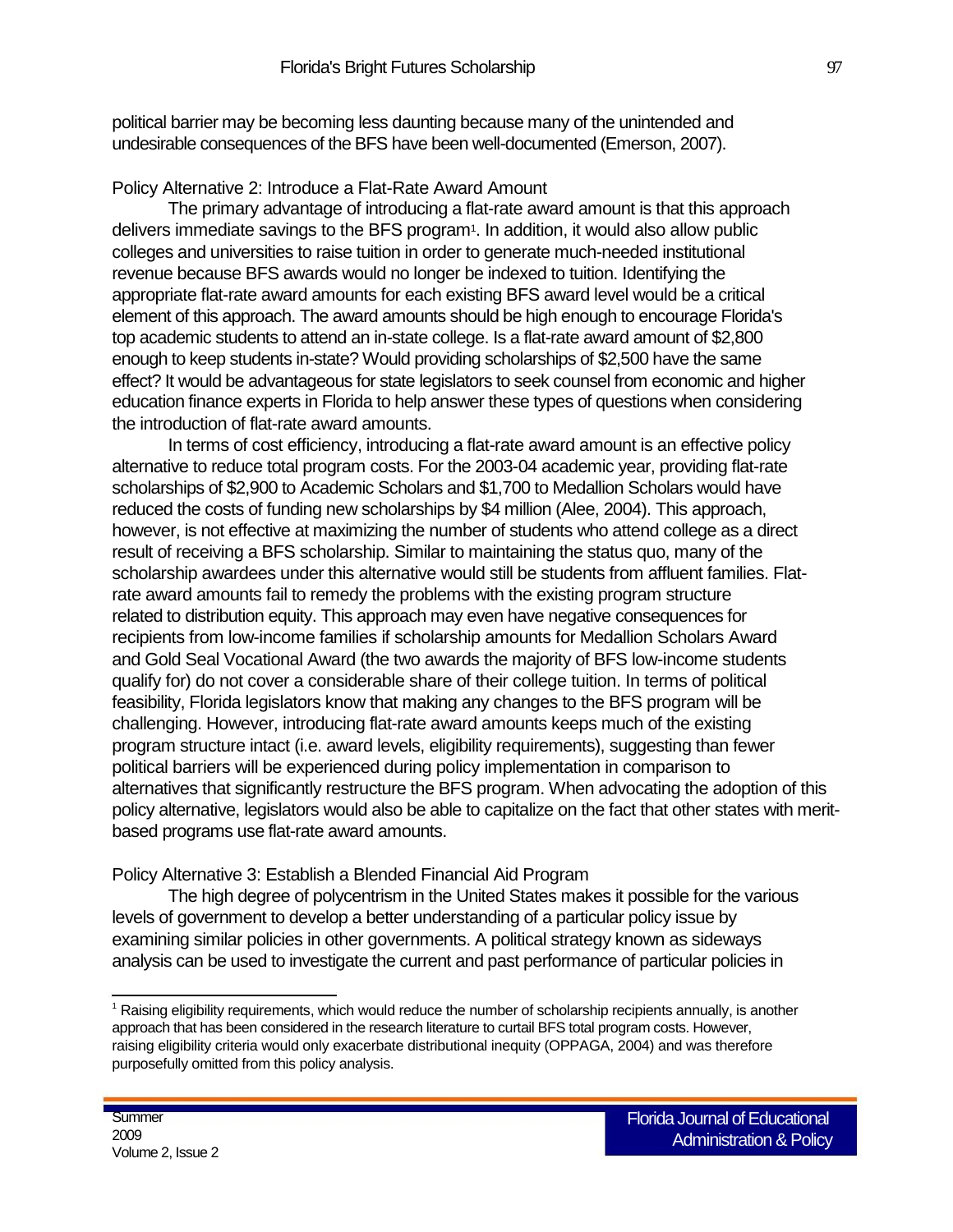political barrier may be becoming less daunting because many of the unintended and undesirable consequences of the BFS have been well-documented (Emerson, 2007).

Policy Alternative 2: Introduce a Flat-Rate Award Amount

The primary advantage of introducing a flat-rate award amount is that this approach delivers immediate savings to the BFS program<sup>1</sup>. In addition, it would also allow public colleges and universities to raise tuition in order to generate much-needed institutional revenue because BFS awards would no longer be indexed to tuition. Identifying the appropriate flat-rate award amounts for each existing BFS award level would be a critical element of this approach. The award amounts should be high enough to encourage Florida's top academic students to attend an in-state college. Is a flat-rate award amount of \$2,800 enough to keep students in-state? Would providing scholarships of \$2,500 have the same effect? It would be advantageous for state legislators to seek counsel from economic and higher education finance experts in Florida to help answer these types of questions when considering the introduction of flat-rate award amounts.

In terms of cost efficiency, introducing a flat-rate award amount is an effective policy alternative to reduce total program costs. For the 2003-04 academic year, providing flat-rate scholarships of \$2,900 to Academic Scholars and \$1,700 to Medallion Scholars would have reduced the costs of funding new scholarships by \$4 million (Alee, 2004). This approach, however, is not effective at maximizing the number of students who attend college as a direct result of receiving a BFS scholarship. Similar to maintaining the status quo, many of the scholarship awardees under this alternative would still be students from affluent families. Flatrate award amounts fail to remedy the problems with the existing program structure related to distribution equity. This approach may even have negative consequences for recipients from low-income families if scholarship amounts for Medallion Scholars Award and Gold Seal Vocational Award (the two awards the majority of BFS low-income students qualify for) do not cover a considerable share of their college tuition. In terms of political feasibility, Florida legislators know that making any changes to the BFS program will be challenging. However, introducing flat-rate award amounts keeps much of the existing program structure intact (i.e. award levels, eligibility requirements), suggesting than fewer political barriers will be experienced during policy implementation in comparison to alternatives that significantly restructure the BFS program. When advocating the adoption of this policy alternative, legislators would also be able to capitalize on the fact that other states with meritbased programs use flat-rate award amounts.

Policy Alternative 3: Establish a Blended Financial Aid Program

The high degree of polycentrism in the United States makes it possible for the various levels of government to develop a better understanding of a particular policy issue by examining similar policies in other governments. A political strategy known as sideways analysis can be used to investigate the current and past performance of particular policies in

<sup>1</sup> Raising eligibility requirements, which would reduce the number of scholarship recipients annually, is another approach that has been considered in the research literature to curtail BFS total program costs. However, raising eligibility criteria would only exacerbate distributional inequity (OPPAGA, 2004) and was therefore purposefully omitted from this policy analysis.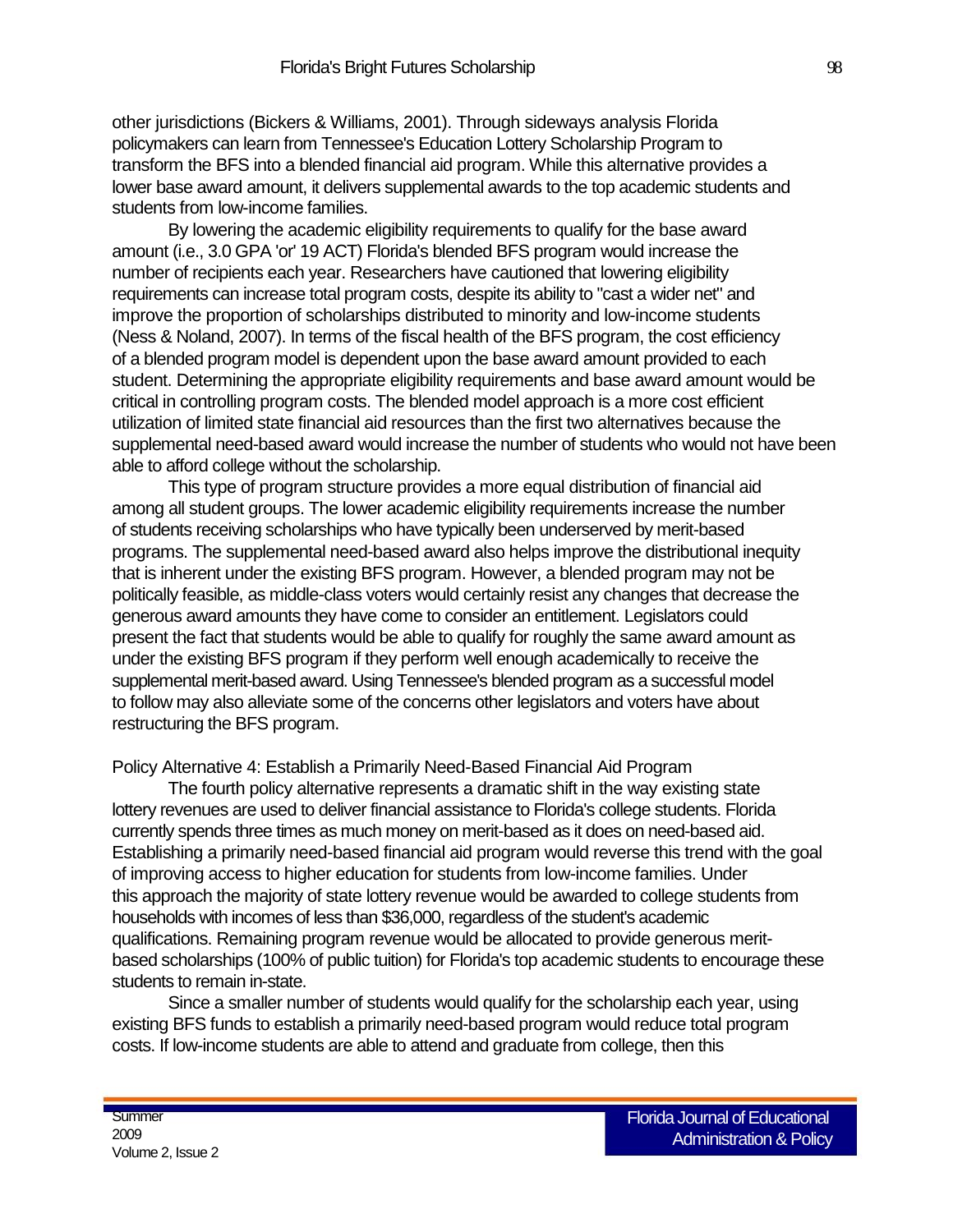other jurisdictions (Bickers & Williams, 2001). Through sideways analysis Florida policymakers can learn from Tennessee's Education Lottery Scholarship Program to transform the BFS into a blended financial aid program. While this alternative provides a lower base award amount, it delivers supplemental awards to the top academic students and students from low-income families.

By lowering the academic eligibility requirements to qualify for the base award amount (i.e., 3.0 GPA 'or' 19 ACT) Florida's blended BFS program would increase the number of recipients each year. Researchers have cautioned that lowering eligibility requirements can increase total program costs, despite its ability to "cast a wider net" and improve the proportion of scholarships distributed to minority and low-income students (Ness & Noland, 2007). In terms of the fiscal health of the BFS program, the cost efficiency of a blended program model is dependent upon the base award amount provided to each student. Determining the appropriate eligibility requirements and base award amount would be critical in controlling program costs. The blended model approach is a more cost efficient utilization of limited state financial aid resources than the first two alternatives because the supplemental need-based award would increase the number of students who would not have been able to afford college without the scholarship.

This type of program structure provides a more equal distribution of financial aid among all student groups. The lower academic eligibility requirements increase the number of students receiving scholarships who have typically been underserved by merit-based programs. The supplemental need-based award also helps improve the distributional inequity that is inherent under the existing BFS program. However, a blended program may not be politically feasible, as middle-class voters would certainly resist any changes that decrease the generous award amounts they have come to consider an entitlement. Legislators could present the fact that students would be able to qualify for roughly the same award amount as under the existing BFS program if they perform well enough academically to receive the supplemental merit-based award. Using Tennessee's blended program as a successful model to follow may also alleviate some of the concerns other legislators and voters have about restructuring the BFS program.

Policy Alternative 4: Establish a Primarily Need-Based Financial Aid Program

The fourth policy alternative represents a dramatic shift in the way existing state lottery revenues are used to deliver financial assistance to Florida's college students. Florida currently spends three times as much money on merit-based as it does on need-based aid. Establishing a primarily need-based financial aid program would reverse this trend with the goal of improving access to higher education for students from low-income families. Under this approach the majority of state lottery revenue would be awarded to college students from households with incomes of less than \$36,000, regardless of the student's academic qualifications. Remaining program revenue would be allocated to provide generous meritbased scholarships (100% of public tuition) for Florida's top academic students to encourage these students to remain in-state.

Since a smaller number of students would qualify for the scholarship each year, using existing BFS funds to establish a primarily need-based program would reduce total program costs. If low-income students are able to attend and graduate from college, then this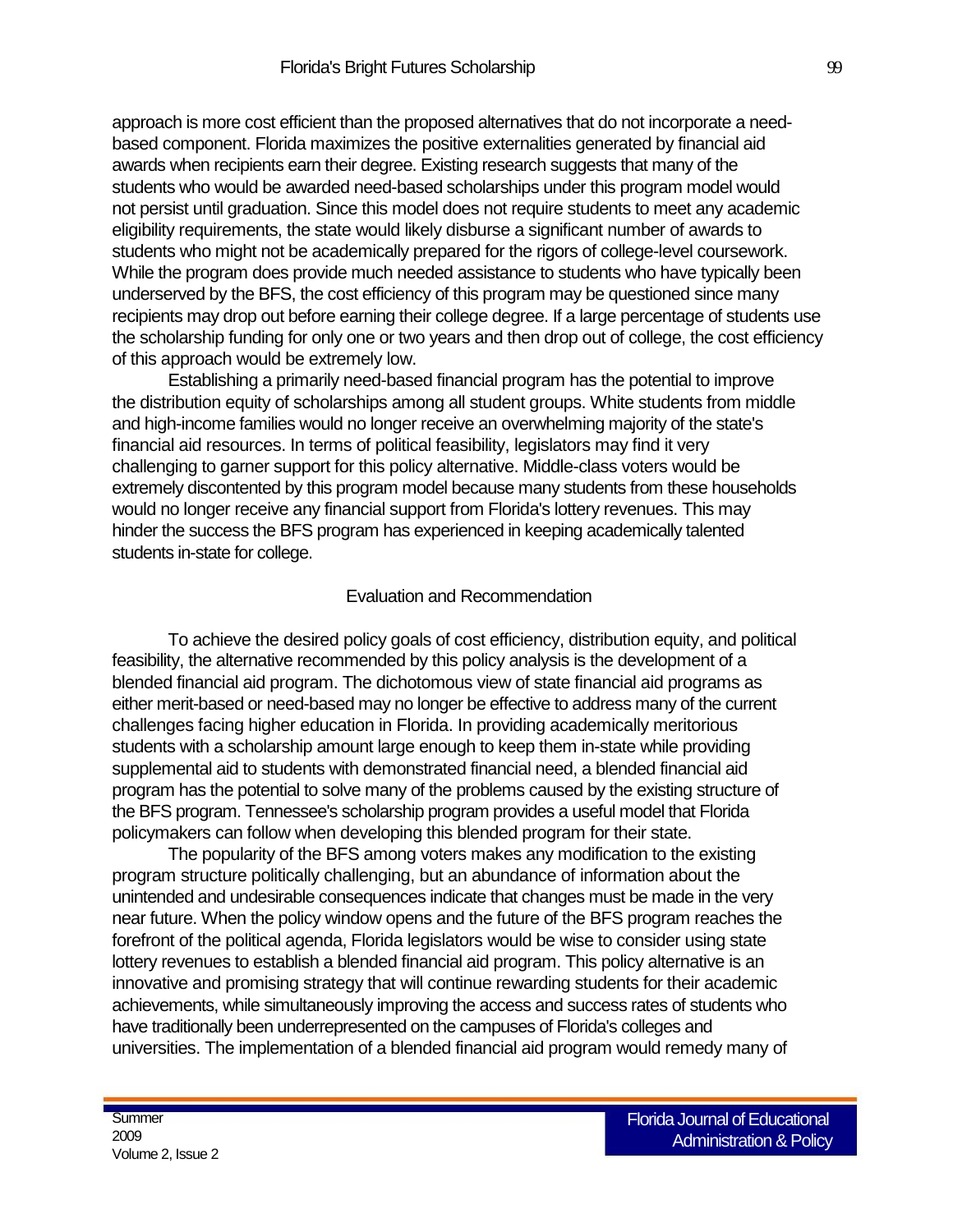approach is more cost efficient than the proposed alternatives that do not incorporate a needbased component. Florida maximizes the positive externalities generated by financial aid awards when recipients earn their degree. Existing research suggests that many of the students who would be awarded need-based scholarships under this program model would not persist until graduation. Since this model does not require students to meet any academic eligibility requirements, the state would likely disburse a significant number of awards to students who might not be academically prepared for the rigors of college-level coursework. While the program does provide much needed assistance to students who have typically been underserved by the BFS, the cost efficiency of this program may be questioned since many recipients may drop out before earning their college degree. If a large percentage of students use the scholarship funding for only one or two years and then drop out of college, the cost efficiency of this approach would be extremely low.

Establishing a primarily need-based financial program has the potential to improve the distribution equity of scholarships among all student groups. White students from middle and high-income families would no longer receive an overwhelming majority of the state's financial aid resources. In terms of political feasibility, legislators may find it very challenging to garner support for this policy alternative. Middle-class voters would be extremely discontented by this program model because many students from these households would no longer receive any financial support from Florida's lottery revenues. This may hinder the success the BFS program has experienced in keeping academically talented students in-state for college.

#### Evaluation and Recommendation

To achieve the desired policy goals of cost efficiency, distribution equity, and political feasibility, the alternative recommended by this policy analysis is the development of a blended financial aid program. The dichotomous view of state financial aid programs as either merit-based or need-based may no longer be effective to address many of the current challenges facing higher education in Florida. In providing academically meritorious students with a scholarship amount large enough to keep them in-state while providing supplemental aid to students with demonstrated financial need, a blended financial aid program has the potential to solve many of the problems caused by the existing structure of the BFS program. Tennessee's scholarship program provides a useful model that Florida policymakers can follow when developing this blended program for their state.

The popularity of the BFS among voters makes any modification to the existing program structure politically challenging, but an abundance of information about the unintended and undesirable consequences indicate that changes must be made in the very near future. When the policy window opens and the future of the BFS program reaches the forefront of the political agenda, Florida legislators would be wise to consider using state lottery revenues to establish a blended financial aid program. This policy alternative is an innovative and promising strategy that will continue rewarding students for their academic achievements, while simultaneously improving the access and success rates of students who have traditionally been underrepresented on the campuses of Florida's colleges and universities. The implementation of a blended financial aid program would remedy many of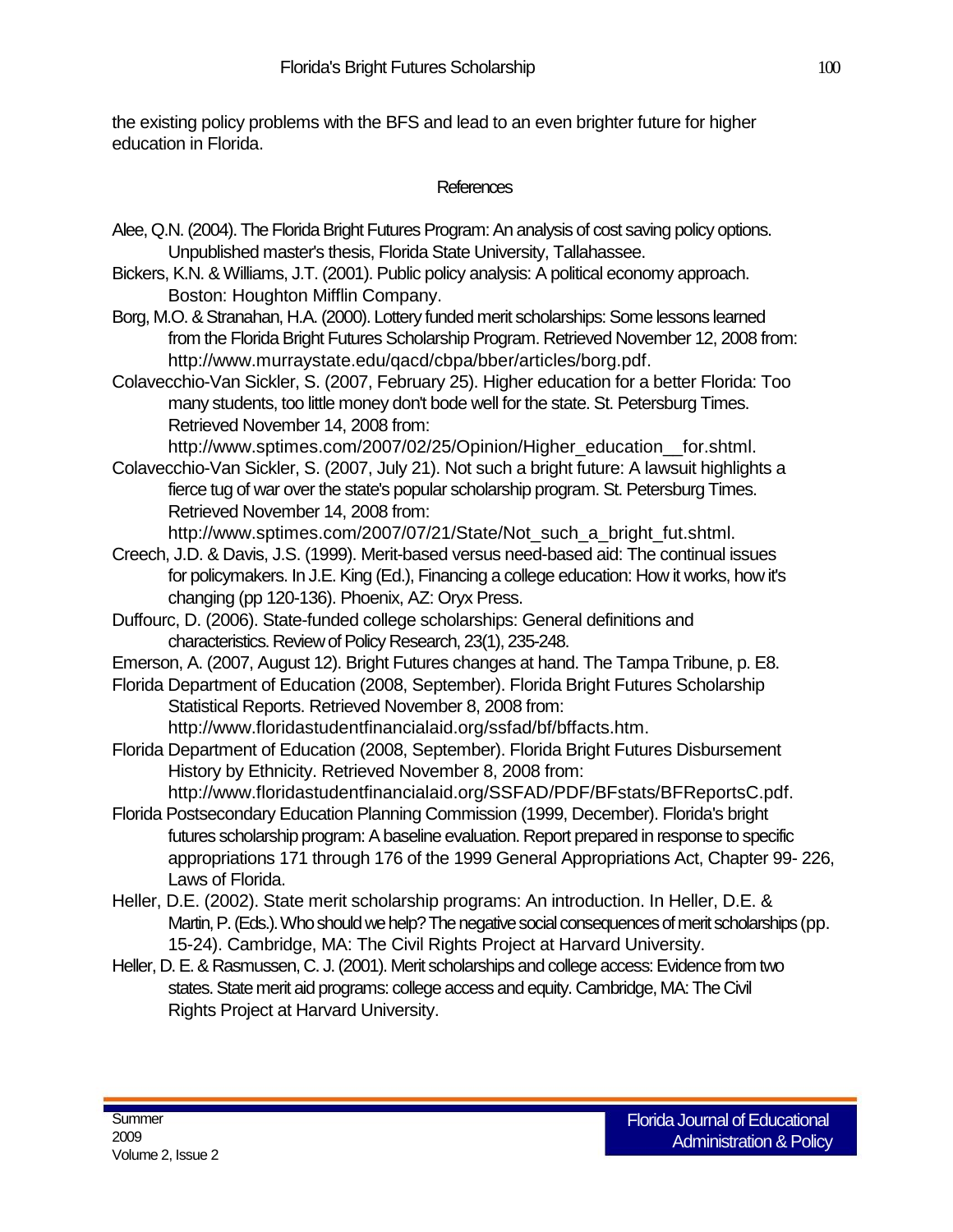the existing policy problems with the BFS and lead to an even brighter future for higher education in Florida.

## References

- Alee, Q.N. (2004). The Florida Bright Futures Program: An analysis of cost saving policy options. Unpublished master's thesis, Florida State University, Tallahassee.
- Bickers, K.N. & Williams, J.T. (2001). Public policy analysis: A political economy approach. Boston: Houghton Mifflin Company.
- Borg, M.O. & Stranahan, H.A. (2000). Lottery funded merit scholarships: Some lessons learned from the Florida Bright Futures Scholarship Program. Retrieved November 12, 2008 from: http://www.murraystate.edu/qacd/cbpa/bber/articles/borg.pdf.
- Colavecchio-Van Sickler, S. (2007, February 25). Higher education for a better Florida: Too many students, too little money don't bode well for the state. St. Petersburg Times. Retrieved November 14, 2008 from:

http://www.sptimes.com/2007/02/25/Opinion/Higher\_education\_for.shtml.

Colavecchio-Van Sickler, S. (2007, July 21). Not such a bright future: A lawsuit highlights a fierce tug of war over the state's popular scholarship program. St. Petersburg Times. Retrieved November 14, 2008 from:

http://www.sptimes.com/2007/07/21/State/Not\_such\_a\_bright\_fut.shtml.

- Creech, J.D. & Davis, J.S. (1999). Merit-based versus need-based aid: The continual issues for policymakers. In J.E. King (Ed.), Financing a college education: How it works, how it's changing (pp 120-136). Phoenix, AZ: Oryx Press.
- Duffourc, D. (2006). State-funded college scholarships: General definitions and characteristics. Review of Policy Research, 23(1), 235-248.
- Emerson, A. (2007, August 12). Bright Futures changes at hand. The Tampa Tribune, p. E8.

Florida Department of Education (2008, September). Florida Bright Futures Scholarship Statistical Reports. Retrieved November 8, 2008 from:

http://www.floridastudentfinancialaid.org/ssfad/bf/bffacts.htm.

- Florida Department of Education (2008, September). Florida Bright Futures Disbursement History by Ethnicity. Retrieved November 8, 2008 from:
- http://www.floridastudentfinancialaid.org/SSFAD/PDF/BFstats/BFReportsC.pdf. Florida Postsecondary Education Planning Commission (1999, December). Florida's bright
- futures scholarship program: A baseline evaluation. Report prepared in response to specific appropriations 171 through 176 of the 1999 General Appropriations Act, Chapter 99- 226, Laws of Florida.
- Heller, D.E. (2002). State merit scholarship programs: An introduction. In Heller, D.E. & Martin, P. (Eds.). Who should we help? The negative social consequences of merit scholarships (pp. 15-24). Cambridge, MA: The Civil Rights Project at Harvard University.
- Heller, D. E. & Rasmussen, C. J. (2001). Merit scholarships and college access: Evidence from two states. State merit aid programs: college access and equity. Cambridge, MA: The Civil Rights Project at Harvard University.